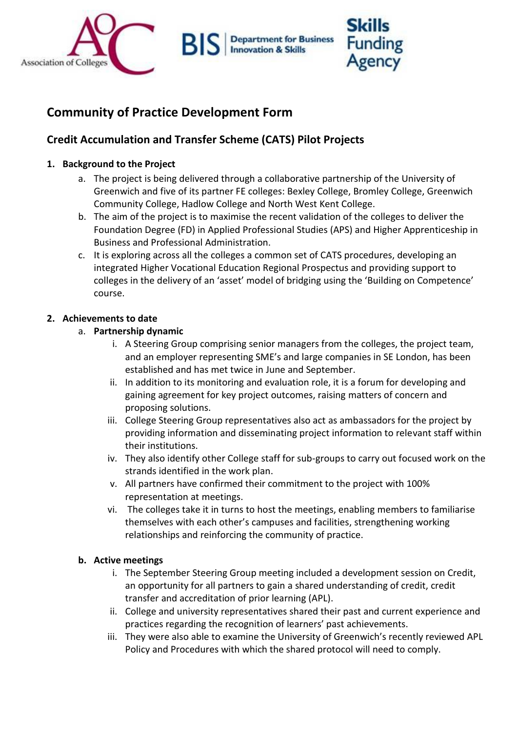

**Department for Business Innovation & Skills** 

# **Community of Practice Development Form**

BI

## **Credit Accumulation and Transfer Scheme (CATS) Pilot Projects**

#### **1. Background to the Project**

- a. The project is being delivered through a collaborative partnership of the University of Greenwich and five of its partner FE colleges: Bexley College, Bromley College, Greenwich Community College, Hadlow College and North West Kent College.
- b. The aim of the project is to maximise the recent validation of the colleges to deliver the Foundation Degree (FD) in Applied Professional Studies (APS) and Higher Apprenticeship in Business and Professional Administration.
- c. It is exploring across all the colleges a common set of CATS procedures, developing an integrated Higher Vocational Education Regional Prospectus and providing support to colleges in the delivery of an 'asset' model of bridging using the 'Building on Competence' course.

#### **2. Achievements to date**

#### a. **Partnership dynamic**

- i. A Steering Group comprising senior managers from the colleges, the project team, and an employer representing SME's and large companies in SE London, has been established and has met twice in June and September.
- ii. In addition to its monitoring and evaluation role, it is a forum for developing and gaining agreement for key project outcomes, raising matters of concern and proposing solutions.
- iii. College Steering Group representatives also act as ambassadors for the project by providing information and disseminating project information to relevant staff within their institutions.
- iv. They also identify other College staff for sub-groups to carry out focused work on the strands identified in the work plan.
- v. All partners have confirmed their commitment to the project with 100% representation at meetings.
- vi. The colleges take it in turns to host the meetings, enabling members to familiarise themselves with each other's campuses and facilities, strengthening working relationships and reinforcing the community of practice.

#### **b. Active meetings**

- i. The September Steering Group meeting included a development session on Credit, an opportunity for all partners to gain a shared understanding of credit, credit transfer and accreditation of prior learning (APL).
- ii. College and university representatives shared their past and current experience and practices regarding the recognition of learners' past achievements.
- iii. They were also able to examine the University of Greenwich's recently reviewed APL Policy and Procedures with which the shared protocol will need to comply.